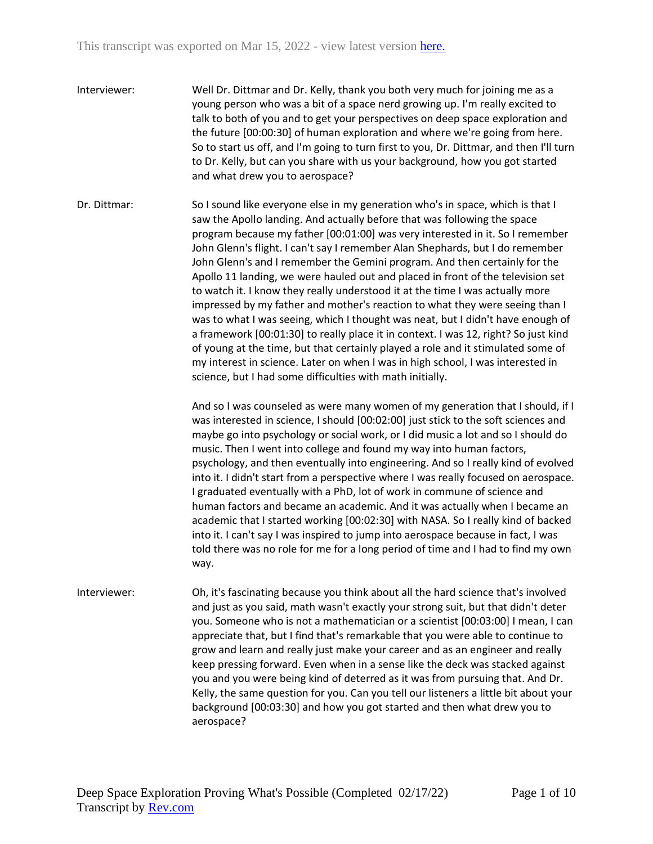- Interviewer: Well Dr. Dittmar and Dr. Kelly, thank you both very much for joining me as a young person who was a bit of a space nerd growing up. I'm really excited to talk to both of you and to get your perspectives on deep space exploration and the future [00:00:30] of human exploration and where we're going from here. So to start us off, and I'm going to turn first to you, Dr. Dittmar, and then I'll turn to Dr. Kelly, but can you share with us your background, how you got started and what drew you to aerospace?
- Dr. Dittmar: So I sound like everyone else in my generation who's in space, which is that I saw the Apollo landing. And actually before that was following the space program because my father [00:01:00] was very interested in it. So I remember John Glenn's flight. I can't say I remember Alan Shephards, but I do remember John Glenn's and I remember the Gemini program. And then certainly for the Apollo 11 landing, we were hauled out and placed in front of the television set to watch it. I know they really understood it at the time I was actually more impressed by my father and mother's reaction to what they were seeing than I was to what I was seeing, which I thought was neat, but I didn't have enough of a framework [00:01:30] to really place it in context. I was 12, right? So just kind of young at the time, but that certainly played a role and it stimulated some of my interest in science. Later on when I was in high school, I was interested in science, but I had some difficulties with math initially.

And so I was counseled as were many women of my generation that I should, if I was interested in science, I should [00:02:00] just stick to the soft sciences and maybe go into psychology or social work, or I did music a lot and so I should do music. Then I went into college and found my way into human factors, psychology, and then eventually into engineering. And so I really kind of evolved into it. I didn't start from a perspective where I was really focused on aerospace. I graduated eventually with a PhD, lot of work in commune of science and human factors and became an academic. And it was actually when I became an academic that I started working [00:02:30] with NASA. So I really kind of backed into it. I can't say I was inspired to jump into aerospace because in fact, I was told there was no role for me for a long period of time and I had to find my own way.

Interviewer: Oh, it's fascinating because you think about all the hard science that's involved and just as you said, math wasn't exactly your strong suit, but that didn't deter you. Someone who is not a mathematician or a scientist [00:03:00] I mean, I can appreciate that, but I find that's remarkable that you were able to continue to grow and learn and really just make your career and as an engineer and really keep pressing forward. Even when in a sense like the deck was stacked against you and you were being kind of deterred as it was from pursuing that. And Dr. Kelly, the same question for you. Can you tell our listeners a little bit about your background [00:03:30] and how you got started and then what drew you to aerospace?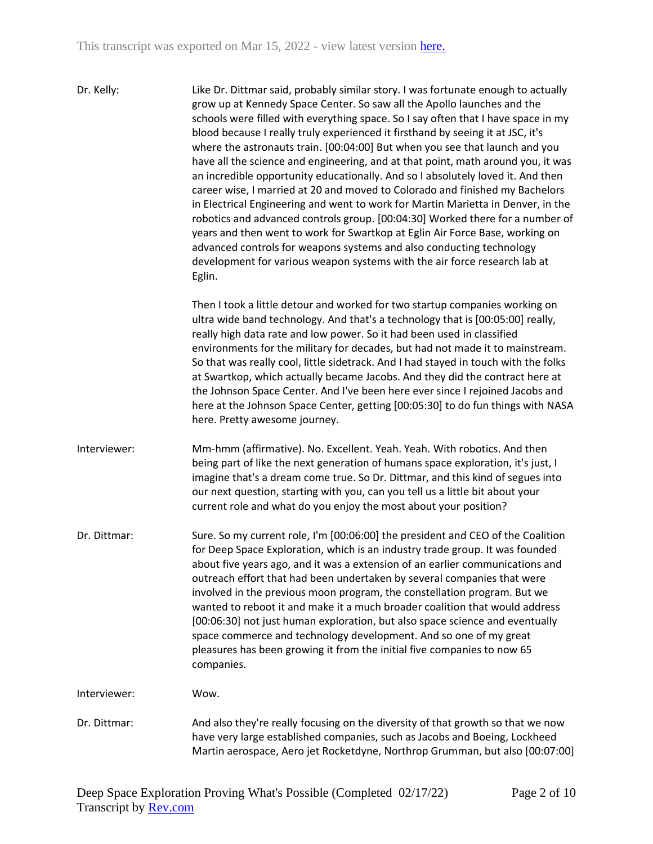Dr. Kelly: Like Dr. Dittmar said, probably similar story. I was fortunate enough to actually grow up at Kennedy Space Center. So saw all the Apollo launches and the schools were filled with everything space. So I say often that I have space in my blood because I really truly experienced it firsthand by seeing it at JSC, it's where the astronauts train. [00:04:00] But when you see that launch and you have all the science and engineering, and at that point, math around you, it was an incredible opportunity educationally. And so I absolutely loved it. And then career wise, I married at 20 and moved to Colorado and finished my Bachelors in Electrical Engineering and went to work for Martin Marietta in Denver, in the robotics and advanced controls group. [00:04:30] Worked there for a number of years and then went to work for Swartkop at Eglin Air Force Base, working on advanced controls for weapons systems and also conducting technology development for various weapon systems with the air force research lab at Eglin.

> Then I took a little detour and worked for two startup companies working on ultra wide band technology. And that's a technology that is [00:05:00] really, really high data rate and low power. So it had been used in classified environments for the military for decades, but had not made it to mainstream. So that was really cool, little sidetrack. And I had stayed in touch with the folks at Swartkop, which actually became Jacobs. And they did the contract here at the Johnson Space Center. And I've been here ever since I rejoined Jacobs and here at the Johnson Space Center, getting [00:05:30] to do fun things with NASA here. Pretty awesome journey.

- Interviewer: Mm-hmm (affirmative). No. Excellent. Yeah. Yeah. With robotics. And then being part of like the next generation of humans space exploration, it's just, I imagine that's a dream come true. So Dr. Dittmar, and this kind of segues into our next question, starting with you, can you tell us a little bit about your current role and what do you enjoy the most about your position?
- Dr. Dittmar: Sure. So my current role, I'm [00:06:00] the president and CEO of the Coalition for Deep Space Exploration, which is an industry trade group. It was founded about five years ago, and it was a extension of an earlier communications and outreach effort that had been undertaken by several companies that were involved in the previous moon program, the constellation program. But we wanted to reboot it and make it a much broader coalition that would address [00:06:30] not just human exploration, but also space science and eventually space commerce and technology development. And so one of my great pleasures has been growing it from the initial five companies to now 65 companies.

Interviewer: Wow.

Dr. Dittmar: And also they're really focusing on the diversity of that growth so that we now have very large established companies, such as Jacobs and Boeing, Lockheed Martin aerospace, Aero jet Rocketdyne, Northrop Grumman, but also [00:07:00]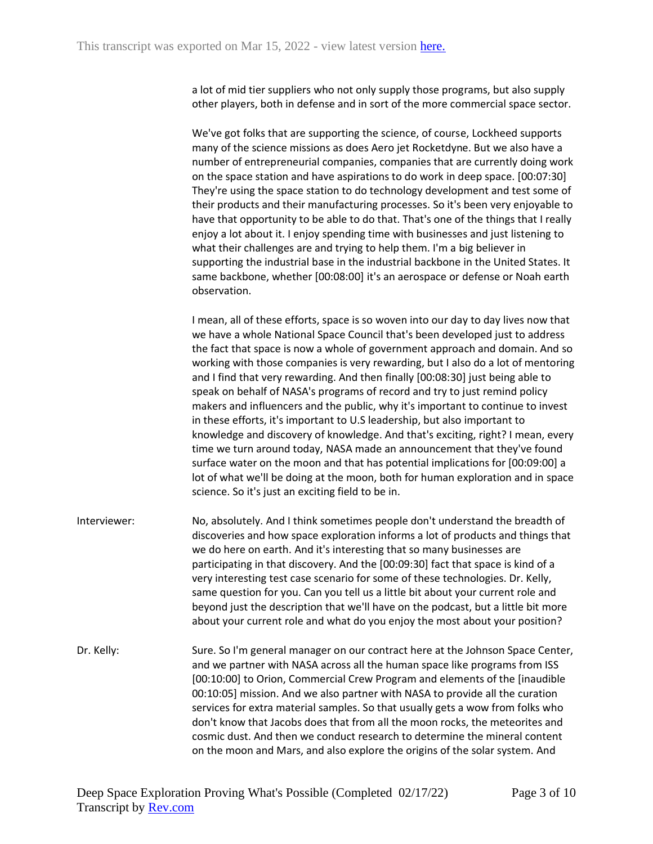a lot of mid tier suppliers who not only supply those programs, but also supply other players, both in defense and in sort of the more commercial space sector.

We've got folks that are supporting the science, of course, Lockheed supports many of the science missions as does Aero jet Rocketdyne. But we also have a number of entrepreneurial companies, companies that are currently doing work on the space station and have aspirations to do work in deep space. [00:07:30] They're using the space station to do technology development and test some of their products and their manufacturing processes. So it's been very enjoyable to have that opportunity to be able to do that. That's one of the things that I really enjoy a lot about it. I enjoy spending time with businesses and just listening to what their challenges are and trying to help them. I'm a big believer in supporting the industrial base in the industrial backbone in the United States. It same backbone, whether [00:08:00] it's an aerospace or defense or Noah earth observation.

I mean, all of these efforts, space is so woven into our day to day lives now that we have a whole National Space Council that's been developed just to address the fact that space is now a whole of government approach and domain. And so working with those companies is very rewarding, but I also do a lot of mentoring and I find that very rewarding. And then finally [00:08:30] just being able to speak on behalf of NASA's programs of record and try to just remind policy makers and influencers and the public, why it's important to continue to invest in these efforts, it's important to U.S leadership, but also important to knowledge and discovery of knowledge. And that's exciting, right? I mean, every time we turn around today, NASA made an announcement that they've found surface water on the moon and that has potential implications for [00:09:00] a lot of what we'll be doing at the moon, both for human exploration and in space science. So it's just an exciting field to be in.

- Interviewer: No, absolutely. And I think sometimes people don't understand the breadth of discoveries and how space exploration informs a lot of products and things that we do here on earth. And it's interesting that so many businesses are participating in that discovery. And the [00:09:30] fact that space is kind of a very interesting test case scenario for some of these technologies. Dr. Kelly, same question for you. Can you tell us a little bit about your current role and beyond just the description that we'll have on the podcast, but a little bit more about your current role and what do you enjoy the most about your position?
- Dr. Kelly: Sure. So I'm general manager on our contract here at the Johnson Space Center, and we partner with NASA across all the human space like programs from ISS [00:10:00] to Orion, Commercial Crew Program and elements of the [inaudible 00:10:05] mission. And we also partner with NASA to provide all the curation services for extra material samples. So that usually gets a wow from folks who don't know that Jacobs does that from all the moon rocks, the meteorites and cosmic dust. And then we conduct research to determine the mineral content on the moon and Mars, and also explore the origins of the solar system. And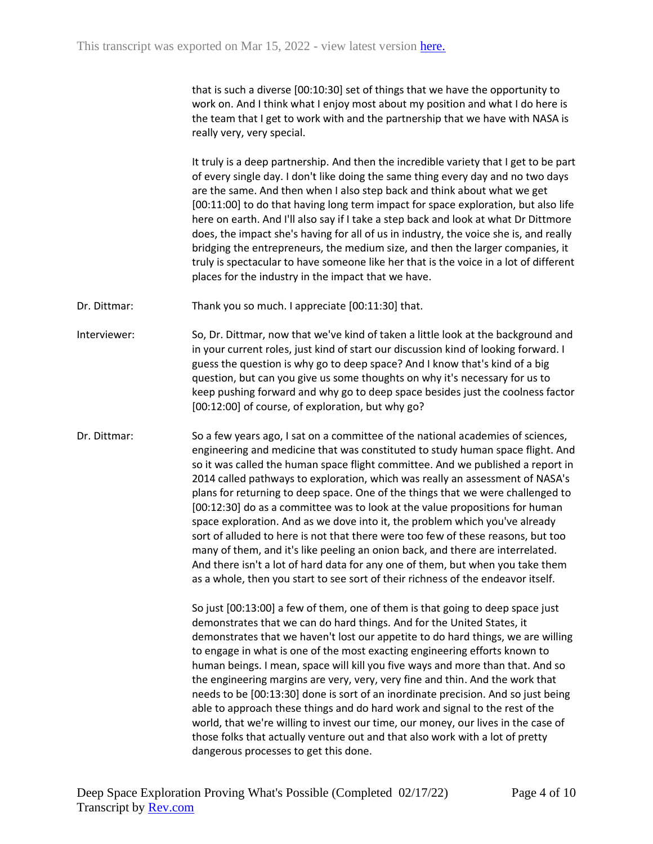that is such a diverse [00:10:30] set of things that we have the opportunity to work on. And I think what I enjoy most about my position and what I do here is the team that I get to work with and the partnership that we have with NASA is really very, very special.

It truly is a deep partnership. And then the incredible variety that I get to be part of every single day. I don't like doing the same thing every day and no two days are the same. And then when I also step back and think about what we get [00:11:00] to do that having long term impact for space exploration, but also life here on earth. And I'll also say if I take a step back and look at what Dr Dittmore does, the impact she's having for all of us in industry, the voice she is, and really bridging the entrepreneurs, the medium size, and then the larger companies, it truly is spectacular to have someone like her that is the voice in a lot of different places for the industry in the impact that we have.

Dr. Dittmar: Thank you so much. I appreciate [00:11:30] that.

Interviewer: So, Dr. Dittmar, now that we've kind of taken a little look at the background and in your current roles, just kind of start our discussion kind of looking forward. I guess the question is why go to deep space? And I know that's kind of a big question, but can you give us some thoughts on why it's necessary for us to keep pushing forward and why go to deep space besides just the coolness factor [00:12:00] of course, of exploration, but why go?

Dr. Dittmar: So a few years ago, I sat on a committee of the national academies of sciences, engineering and medicine that was constituted to study human space flight. And so it was called the human space flight committee. And we published a report in 2014 called pathways to exploration, which was really an assessment of NASA's plans for returning to deep space. One of the things that we were challenged to [00:12:30] do as a committee was to look at the value propositions for human space exploration. And as we dove into it, the problem which you've already sort of alluded to here is not that there were too few of these reasons, but too many of them, and it's like peeling an onion back, and there are interrelated. And there isn't a lot of hard data for any one of them, but when you take them as a whole, then you start to see sort of their richness of the endeavor itself.

> So just [00:13:00] a few of them, one of them is that going to deep space just demonstrates that we can do hard things. And for the United States, it demonstrates that we haven't lost our appetite to do hard things, we are willing to engage in what is one of the most exacting engineering efforts known to human beings. I mean, space will kill you five ways and more than that. And so the engineering margins are very, very, very fine and thin. And the work that needs to be [00:13:30] done is sort of an inordinate precision. And so just being able to approach these things and do hard work and signal to the rest of the world, that we're willing to invest our time, our money, our lives in the case of those folks that actually venture out and that also work with a lot of pretty dangerous processes to get this done.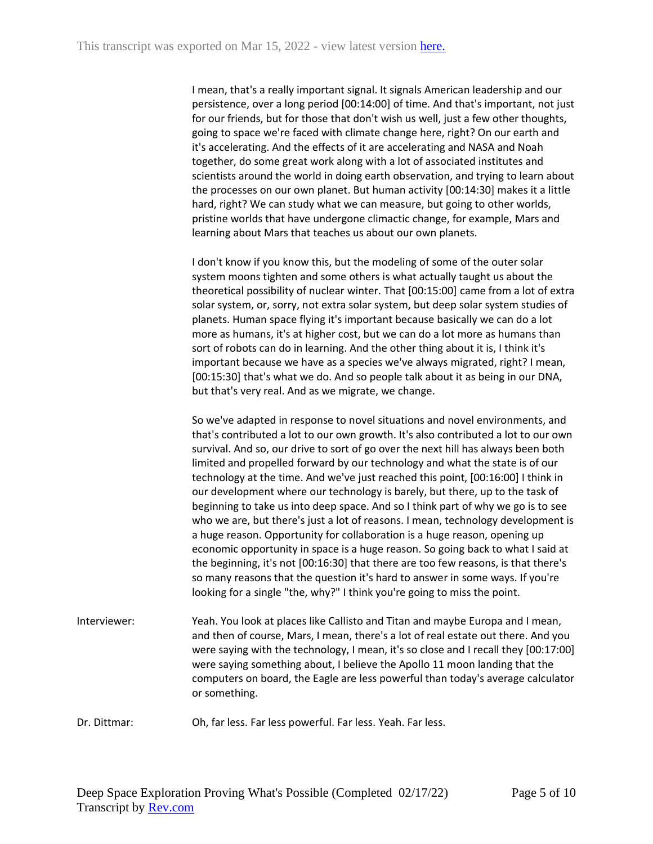I mean, that's a really important signal. It signals American leadership and our persistence, over a long period [00:14:00] of time. And that's important, not just for our friends, but for those that don't wish us well, just a few other thoughts, going to space we're faced with climate change here, right? On our earth and it's accelerating. And the effects of it are accelerating and NASA and Noah together, do some great work along with a lot of associated institutes and scientists around the world in doing earth observation, and trying to learn about the processes on our own planet. But human activity [00:14:30] makes it a little hard, right? We can study what we can measure, but going to other worlds, pristine worlds that have undergone climactic change, for example, Mars and learning about Mars that teaches us about our own planets.

I don't know if you know this, but the modeling of some of the outer solar system moons tighten and some others is what actually taught us about the theoretical possibility of nuclear winter. That [00:15:00] came from a lot of extra solar system, or, sorry, not extra solar system, but deep solar system studies of planets. Human space flying it's important because basically we can do a lot more as humans, it's at higher cost, but we can do a lot more as humans than sort of robots can do in learning. And the other thing about it is, I think it's important because we have as a species we've always migrated, right? I mean, [00:15:30] that's what we do. And so people talk about it as being in our DNA, but that's very real. And as we migrate, we change.

So we've adapted in response to novel situations and novel environments, and that's contributed a lot to our own growth. It's also contributed a lot to our own survival. And so, our drive to sort of go over the next hill has always been both limited and propelled forward by our technology and what the state is of our technology at the time. And we've just reached this point, [00:16:00] I think in our development where our technology is barely, but there, up to the task of beginning to take us into deep space. And so I think part of why we go is to see who we are, but there's just a lot of reasons. I mean, technology development is a huge reason. Opportunity for collaboration is a huge reason, opening up economic opportunity in space is a huge reason. So going back to what I said at the beginning, it's not [00:16:30] that there are too few reasons, is that there's so many reasons that the question it's hard to answer in some ways. If you're looking for a single "the, why?" I think you're going to miss the point.

- Interviewer: Yeah. You look at places like Callisto and Titan and maybe Europa and I mean, and then of course, Mars, I mean, there's a lot of real estate out there. And you were saying with the technology, I mean, it's so close and I recall they [00:17:00] were saying something about, I believe the Apollo 11 moon landing that the computers on board, the Eagle are less powerful than today's average calculator or something.
- Dr. Dittmar: Oh, far less. Far less powerful. Far less. Yeah. Far less.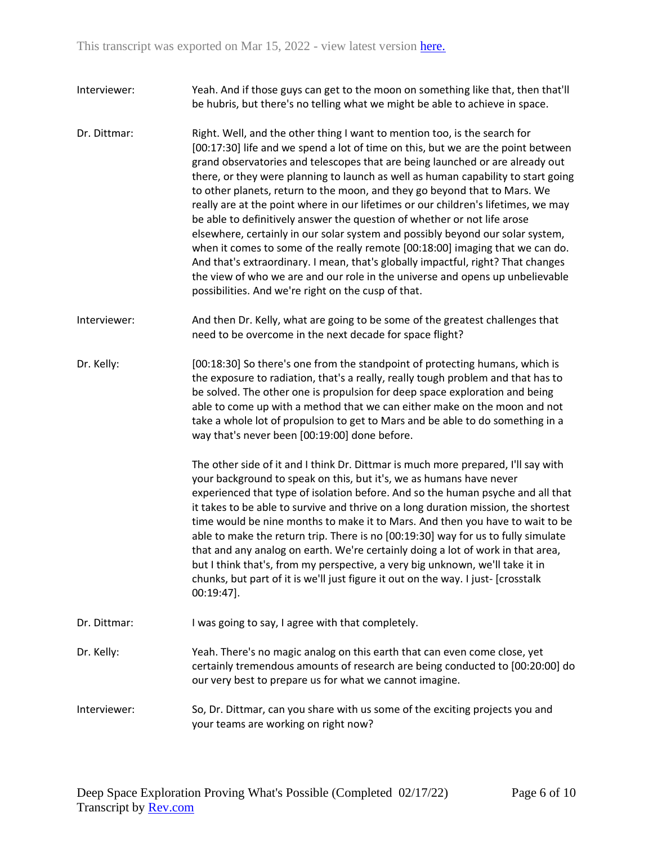- Interviewer: Yeah. And if those guys can get to the moon on something like that, then that'll be hubris, but there's no telling what we might be able to achieve in space.
- Dr. Dittmar: Right. Well, and the other thing I want to mention too, is the search for [00:17:30] life and we spend a lot of time on this, but we are the point between grand observatories and telescopes that are being launched or are already out there, or they were planning to launch as well as human capability to start going to other planets, return to the moon, and they go beyond that to Mars. We really are at the point where in our lifetimes or our children's lifetimes, we may be able to definitively answer the question of whether or not life arose elsewhere, certainly in our solar system and possibly beyond our solar system, when it comes to some of the really remote [00:18:00] imaging that we can do. And that's extraordinary. I mean, that's globally impactful, right? That changes the view of who we are and our role in the universe and opens up unbelievable possibilities. And we're right on the cusp of that.
- Interviewer: And then Dr. Kelly, what are going to be some of the greatest challenges that need to be overcome in the next decade for space flight?
- Dr. Kelly: [00:18:30] So there's one from the standpoint of protecting humans, which is the exposure to radiation, that's a really, really tough problem and that has to be solved. The other one is propulsion for deep space exploration and being able to come up with a method that we can either make on the moon and not take a whole lot of propulsion to get to Mars and be able to do something in a way that's never been [00:19:00] done before.

The other side of it and I think Dr. Dittmar is much more prepared, I'll say with your background to speak on this, but it's, we as humans have never experienced that type of isolation before. And so the human psyche and all that it takes to be able to survive and thrive on a long duration mission, the shortest time would be nine months to make it to Mars. And then you have to wait to be able to make the return trip. There is no [00:19:30] way for us to fully simulate that and any analog on earth. We're certainly doing a lot of work in that area, but I think that's, from my perspective, a very big unknown, we'll take it in chunks, but part of it is we'll just figure it out on the way. I just- [crosstalk 00:19:47].

- Dr. Dittmar: I was going to say, I agree with that completely.
- Dr. Kelly: Yeah. There's no magic analog on this earth that can even come close, yet certainly tremendous amounts of research are being conducted to [00:20:00] do our very best to prepare us for what we cannot imagine.
- Interviewer: So, Dr. Dittmar, can you share with us some of the exciting projects you and your teams are working on right now?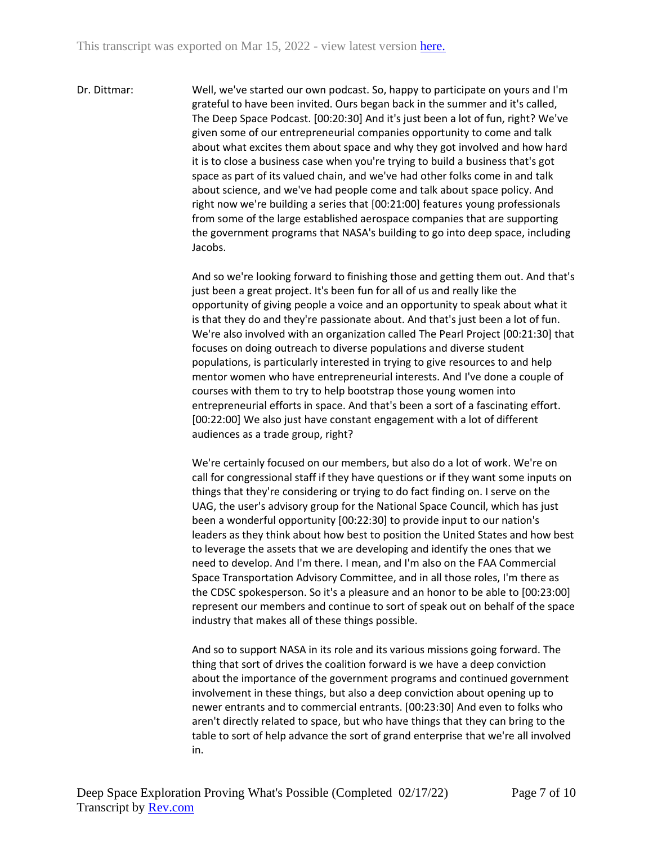Dr. Dittmar: Well, we've started our own podcast. So, happy to participate on yours and I'm grateful to have been invited. Ours began back in the summer and it's called, The Deep Space Podcast. [00:20:30] And it's just been a lot of fun, right? We've given some of our entrepreneurial companies opportunity to come and talk about what excites them about space and why they got involved and how hard it is to close a business case when you're trying to build a business that's got space as part of its valued chain, and we've had other folks come in and talk about science, and we've had people come and talk about space policy. And right now we're building a series that [00:21:00] features young professionals from some of the large established aerospace companies that are supporting the government programs that NASA's building to go into deep space, including Jacobs.

> And so we're looking forward to finishing those and getting them out. And that's just been a great project. It's been fun for all of us and really like the opportunity of giving people a voice and an opportunity to speak about what it is that they do and they're passionate about. And that's just been a lot of fun. We're also involved with an organization called The Pearl Project [00:21:30] that focuses on doing outreach to diverse populations and diverse student populations, is particularly interested in trying to give resources to and help mentor women who have entrepreneurial interests. And I've done a couple of courses with them to try to help bootstrap those young women into entrepreneurial efforts in space. And that's been a sort of a fascinating effort. [00:22:00] We also just have constant engagement with a lot of different audiences as a trade group, right?

> We're certainly focused on our members, but also do a lot of work. We're on call for congressional staff if they have questions or if they want some inputs on things that they're considering or trying to do fact finding on. I serve on the UAG, the user's advisory group for the National Space Council, which has just been a wonderful opportunity [00:22:30] to provide input to our nation's leaders as they think about how best to position the United States and how best to leverage the assets that we are developing and identify the ones that we need to develop. And I'm there. I mean, and I'm also on the FAA Commercial Space Transportation Advisory Committee, and in all those roles, I'm there as the CDSC spokesperson. So it's a pleasure and an honor to be able to [00:23:00] represent our members and continue to sort of speak out on behalf of the space industry that makes all of these things possible.

And so to support NASA in its role and its various missions going forward. The thing that sort of drives the coalition forward is we have a deep conviction about the importance of the government programs and continued government involvement in these things, but also a deep conviction about opening up to newer entrants and to commercial entrants. [00:23:30] And even to folks who aren't directly related to space, but who have things that they can bring to the table to sort of help advance the sort of grand enterprise that we're all involved in.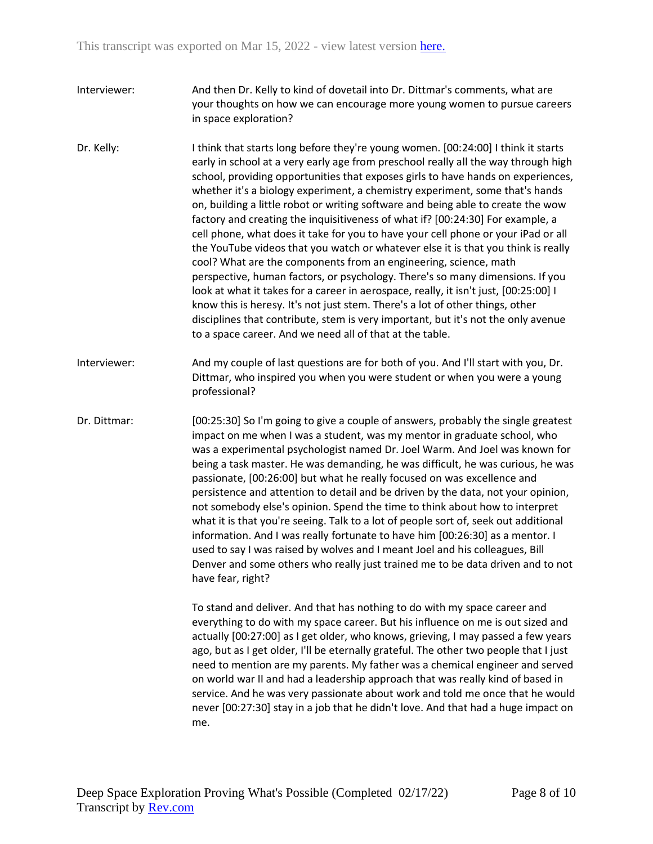- Interviewer: And then Dr. Kelly to kind of dovetail into Dr. Dittmar's comments, what are your thoughts on how we can encourage more young women to pursue careers in space exploration?
- Dr. Kelly: I think that starts long before they're young women. [00:24:00] I think it starts early in school at a very early age from preschool really all the way through high school, providing opportunities that exposes girls to have hands on experiences, whether it's a biology experiment, a chemistry experiment, some that's hands on, building a little robot or writing software and being able to create the wow factory and creating the inquisitiveness of what if? [00:24:30] For example, a cell phone, what does it take for you to have your cell phone or your iPad or all the YouTube videos that you watch or whatever else it is that you think is really cool? What are the components from an engineering, science, math perspective, human factors, or psychology. There's so many dimensions. If you look at what it takes for a career in aerospace, really, it isn't just, [00:25:00] I know this is heresy. It's not just stem. There's a lot of other things, other disciplines that contribute, stem is very important, but it's not the only avenue to a space career. And we need all of that at the table.
- Interviewer: And my couple of last questions are for both of you. And I'll start with you, Dr. Dittmar, who inspired you when you were student or when you were a young professional?
- Dr. Dittmar: [00:25:30] So I'm going to give a couple of answers, probably the single greatest impact on me when I was a student, was my mentor in graduate school, who was a experimental psychologist named Dr. Joel Warm. And Joel was known for being a task master. He was demanding, he was difficult, he was curious, he was passionate, [00:26:00] but what he really focused on was excellence and persistence and attention to detail and be driven by the data, not your opinion, not somebody else's opinion. Spend the time to think about how to interpret what it is that you're seeing. Talk to a lot of people sort of, seek out additional information. And I was really fortunate to have him [00:26:30] as a mentor. I used to say I was raised by wolves and I meant Joel and his colleagues, Bill Denver and some others who really just trained me to be data driven and to not have fear, right?

To stand and deliver. And that has nothing to do with my space career and everything to do with my space career. But his influence on me is out sized and actually [00:27:00] as I get older, who knows, grieving, I may passed a few years ago, but as I get older, I'll be eternally grateful. The other two people that I just need to mention are my parents. My father was a chemical engineer and served on world war II and had a leadership approach that was really kind of based in service. And he was very passionate about work and told me once that he would never [00:27:30] stay in a job that he didn't love. And that had a huge impact on me.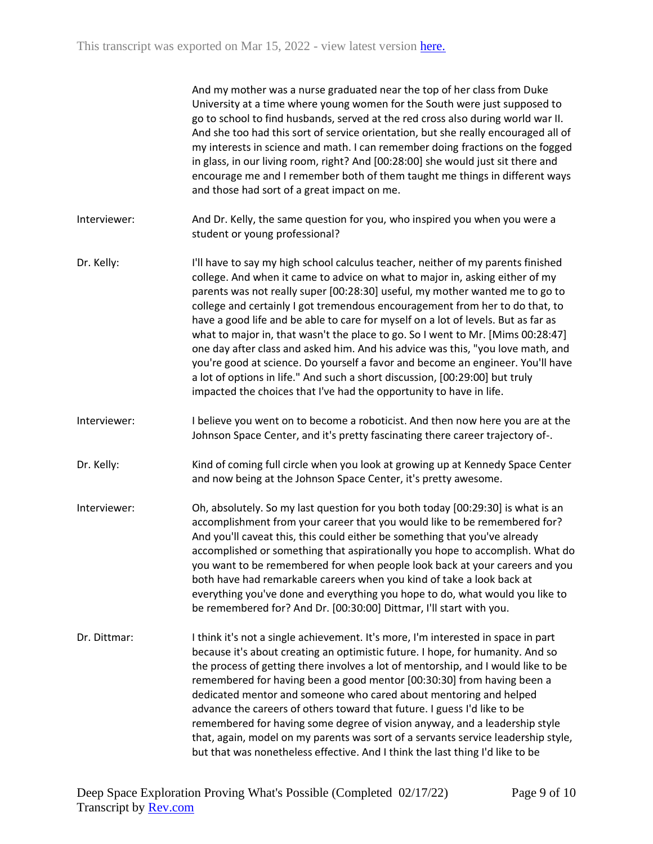| And my mother was a nurse graduated near the top of her class from Duke            |
|------------------------------------------------------------------------------------|
| University at a time where young women for the South were just supposed to         |
| go to school to find husbands, served at the red cross also during world war II.   |
| And she too had this sort of service orientation, but she really encouraged all of |
| my interests in science and math. I can remember doing fractions on the fogged     |
| in glass, in our living room, right? And [00:28:00] she would just sit there and   |
| encourage me and I remember both of them taught me things in different ways        |
| and those had sort of a great impact on me.                                        |

- Interviewer: And Dr. Kelly, the same question for you, who inspired you when you were a student or young professional?
- Dr. Kelly: I'll have to say my high school calculus teacher, neither of my parents finished college. And when it came to advice on what to major in, asking either of my parents was not really super [00:28:30] useful, my mother wanted me to go to college and certainly I got tremendous encouragement from her to do that, to have a good life and be able to care for myself on a lot of levels. But as far as what to major in, that wasn't the place to go. So I went to Mr. [Mims 00:28:47] one day after class and asked him. And his advice was this, "you love math, and you're good at science. Do yourself a favor and become an engineer. You'll have a lot of options in life." And such a short discussion, [00:29:00] but truly impacted the choices that I've had the opportunity to have in life.
- Interviewer: I believe you went on to become a roboticist. And then now here you are at the Johnson Space Center, and it's pretty fascinating there career trajectory of-.
- Dr. Kelly: Kind of coming full circle when you look at growing up at Kennedy Space Center and now being at the Johnson Space Center, it's pretty awesome.
- Interviewer: Oh, absolutely. So my last question for you both today [00:29:30] is what is an accomplishment from your career that you would like to be remembered for? And you'll caveat this, this could either be something that you've already accomplished or something that aspirationally you hope to accomplish. What do you want to be remembered for when people look back at your careers and you both have had remarkable careers when you kind of take a look back at everything you've done and everything you hope to do, what would you like to be remembered for? And Dr. [00:30:00] Dittmar, I'll start with you.
- Dr. Dittmar: Ithink it's not a single achievement. It's more, I'm interested in space in part because it's about creating an optimistic future. I hope, for humanity. And so the process of getting there involves a lot of mentorship, and I would like to be remembered for having been a good mentor [00:30:30] from having been a dedicated mentor and someone who cared about mentoring and helped advance the careers of others toward that future. I guess I'd like to be remembered for having some degree of vision anyway, and a leadership style that, again, model on my parents was sort of a servants service leadership style, but that was nonetheless effective. And I think the last thing I'd like to be